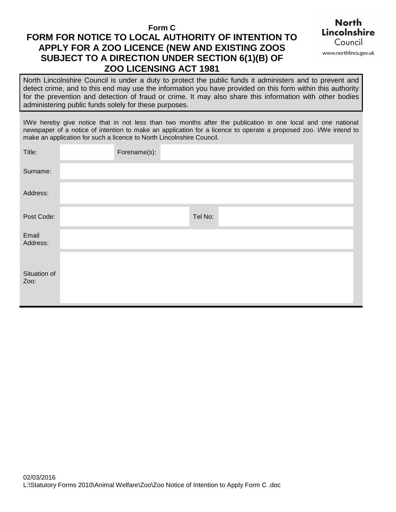**Form C** 

# **FORM FOR NOTICE TO LOCAL AUTHORITY OF INTENTION TO APPLY FOR A ZOO LICENCE (NEW AND EXISTING ZOOS SUBJECT TO A DIRECTION UNDER SECTION 6(1)(B) OF ZOO LICENSING ACT 1981**



 North Lincolnshire Council is under a duty to protect the public funds it administers and to prevent and detect crime, and to this end may use the information you have provided on this form within this authority for the prevention and detection of fraud or crime. It may also share this information with other bodies administering public funds solely for these purposes.

 I/We hereby give notice that in not less than two months after the publication in one local and one national newspaper of a notice of intention to make an application for a licence to operate a proposed zoo. I/We intend to make an application for such a licence to North Lincolnshire Council.

| Title:               | Forename(s): |         |  |
|----------------------|--------------|---------|--|
| Surname:             |              |         |  |
| Address:             |              |         |  |
| Post Code:           |              | Tel No: |  |
| Email<br>Address:    |              |         |  |
| Situation of<br>Zoo: |              |         |  |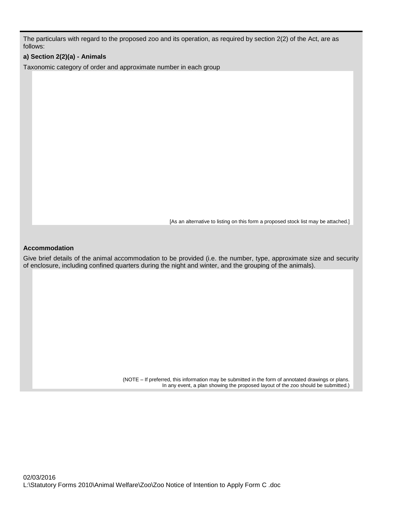The particulars with regard to the proposed zoo and its operation, as required by section 2(2) of the Act, are as follows:

## **a) Section 2(2)(a) - Animals**

Taxonomic category of order and approximate number in each group

[As an alternative to listing on this form a proposed stock list may be attached.]

#### **Accommodation**

 Give brief details of the animal accommodation to be provided (i.e. the number, type, approximate size and security of enclosure, including confined quarters during the night and winter, and the grouping of the animals).

> (NOTE – If preferred, this information may be submitted in the form of annotated drawings or plans. In any event, a plan showing the proposed layout of the zoo should be submitted.)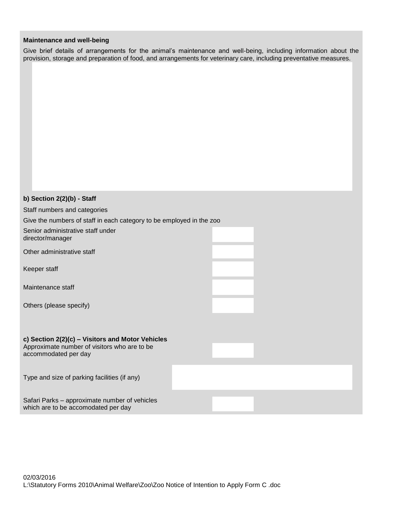### **Maintenance and well-being**

 Give brief details of arrangements for the animal's maintenance and well-being, including information about the provision, storage and preparation of food, and arrangements for veterinary care, including preventative measures.

| b) Section 2(2)(b) - Staff                                                           |  |  |  |  |
|--------------------------------------------------------------------------------------|--|--|--|--|
| Staff numbers and categories                                                         |  |  |  |  |
| Give the numbers of staff in each category to be employed in the zoo                 |  |  |  |  |
| Senior administrative staff under<br>director/manager                                |  |  |  |  |
| Other administrative staff                                                           |  |  |  |  |
| Keeper staff                                                                         |  |  |  |  |
| Maintenance staff                                                                    |  |  |  |  |
| Others (please specify)                                                              |  |  |  |  |
|                                                                                      |  |  |  |  |
| c) Section 2(2)(c) - Visitors and Motor Vehicles                                     |  |  |  |  |
| Approximate number of visitors who are to be<br>accommodated per day                 |  |  |  |  |
|                                                                                      |  |  |  |  |
| Type and size of parking facilities (if any)                                         |  |  |  |  |
| Safari Parks - approximate number of vehicles<br>which are to be accomodated per day |  |  |  |  |